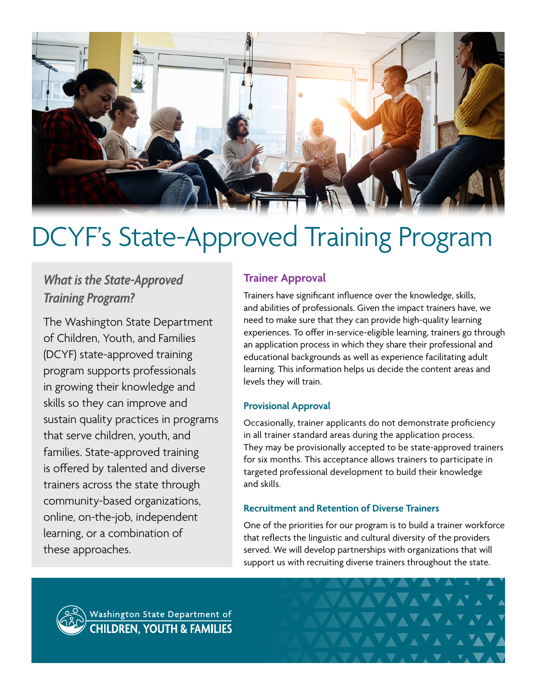

# DCYF's State-Approved Training Program

# *What is the State-Approved Training Program?*

The Washington State Department of Children, Youth, and Families (DCYF) state-approved training program supports professionals in growing their knowledge and skills so they can improve and sustain quality practices in programs that serve children, youth, and families. State-approved training is offered by talented and diverse trainers across the state through community-based organizations, online, on-the-job, independent learning, or a combination of these approaches.

# **Trainer Approval**

Trainers have significant influence over the knowledge, skills, and abilities of professionals. Given the impact trainers have, we need to make sure that they can provide high-quality learning experiences. To offer in-service-eligible learning, trainers go through an application process in which they share their professional and educational backgrounds as well as experience facilitating adult learning. This information helps us decide the content areas and levels they will train.

### **Provisional Approval**

Occasionally, trainer applicants do not demonstrate proficiency in all trainer standard areas during the application process. They may be provisionally accepted to be state-approved trainers for six months. This acceptance allows trainers to participate in targeted professional development to build their knowledge and skills.

#### **Recruitment and Retention of Diverse Trainers**

One of the priorities for our program is to build a trainer workforce that reflects the linguistic and cultural diversity of the providers served. We will develop partnerships with organizations that will support us with recruiting diverse trainers throughout the state.